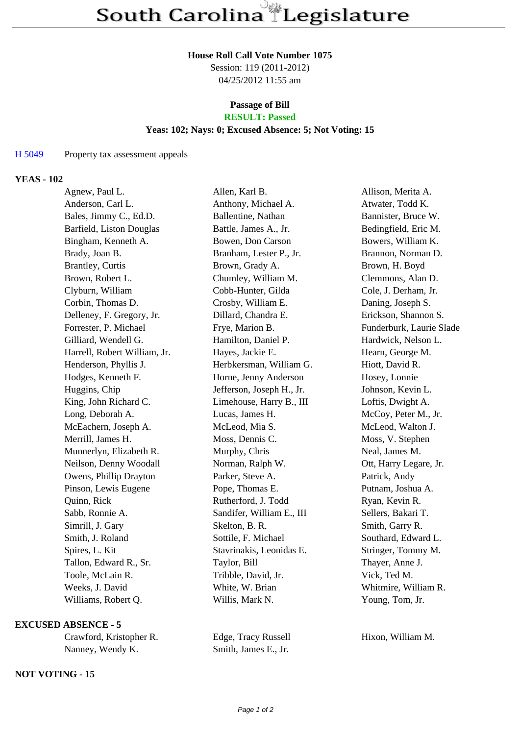#### **House Roll Call Vote Number 1075**

Session: 119 (2011-2012) 04/25/2012 11:55 am

# **Passage of Bill**

## **RESULT: Passed**

### **Yeas: 102; Nays: 0; Excused Absence: 5; Not Voting: 15**

#### H 5049 Property tax assessment appeals

#### **YEAS - 102**

| Agnew, Paul L.               | Allen, Karl B.            | Allison, Merita A.       |
|------------------------------|---------------------------|--------------------------|
| Anderson, Carl L.            | Anthony, Michael A.       | Atwater, Todd K.         |
| Bales, Jimmy C., Ed.D.       | Ballentine, Nathan        | Bannister, Bruce W.      |
| Barfield, Liston Douglas     | Battle, James A., Jr.     | Bedingfield, Eric M.     |
| Bingham, Kenneth A.          | Bowen, Don Carson         | Bowers, William K.       |
| Brady, Joan B.               | Branham, Lester P., Jr.   | Brannon, Norman D.       |
| <b>Brantley, Curtis</b>      | Brown, Grady A.           | Brown, H. Boyd           |
| Brown, Robert L.             | Chumley, William M.       | Clemmons, Alan D.        |
| Clyburn, William             | Cobb-Hunter, Gilda        | Cole, J. Derham, Jr.     |
| Corbin, Thomas D.            | Crosby, William E.        | Daning, Joseph S.        |
| Delleney, F. Gregory, Jr.    | Dillard, Chandra E.       | Erickson, Shannon S.     |
| Forrester, P. Michael        | Frye, Marion B.           | Funderburk, Laurie Slade |
| Gilliard, Wendell G.         | Hamilton, Daniel P.       | Hardwick, Nelson L.      |
| Harrell, Robert William, Jr. | Hayes, Jackie E.          | Hearn, George M.         |
| Henderson, Phyllis J.        | Herbkersman, William G.   | Hiott, David R.          |
| Hodges, Kenneth F.           | Horne, Jenny Anderson     | Hosey, Lonnie            |
| Huggins, Chip                | Jefferson, Joseph H., Jr. | Johnson, Kevin L.        |
| King, John Richard C.        | Limehouse, Harry B., III  | Loftis, Dwight A.        |
| Long, Deborah A.             | Lucas, James H.           | McCoy, Peter M., Jr.     |
| McEachern, Joseph A.         | McLeod, Mia S.            | McLeod, Walton J.        |
| Merrill, James H.            | Moss, Dennis C.           | Moss, V. Stephen         |
| Munnerlyn, Elizabeth R.      | Murphy, Chris             | Neal, James M.           |
| Neilson, Denny Woodall       | Norman, Ralph W.          | Ott, Harry Legare, Jr.   |
| Owens, Phillip Drayton       | Parker, Steve A.          | Patrick, Andy            |
| Pinson, Lewis Eugene         | Pope, Thomas E.           | Putnam, Joshua A.        |
| Quinn, Rick                  | Rutherford, J. Todd       | Ryan, Kevin R.           |
| Sabb, Ronnie A.              | Sandifer, William E., III | Sellers, Bakari T.       |
| Simrill, J. Gary             | Skelton, B. R.            | Smith, Garry R.          |
| Smith, J. Roland             | Sottile, F. Michael       | Southard, Edward L.      |
| Spires, L. Kit               | Stavrinakis, Leonidas E.  | Stringer, Tommy M.       |
| Tallon, Edward R., Sr.       | Taylor, Bill              | Thayer, Anne J.          |
| Toole, McLain R.             | Tribble, David, Jr.       | Vick, Ted M.             |
| Weeks, J. David              | White, W. Brian           | Whitmire, William R.     |
| Williams, Robert Q.          | Willis, Mark N.           | Young, Tom, Jr.          |
|                              |                           |                          |

#### **EXCUSED ABSENCE - 5**

| Crawford, Kristopher R. |  |  |
|-------------------------|--|--|
| Nanney, Wendy K.        |  |  |

#### **NOT VOTING - 15**

Edge, Tracy Russell Hixon, William M. Smith, James E., Jr.